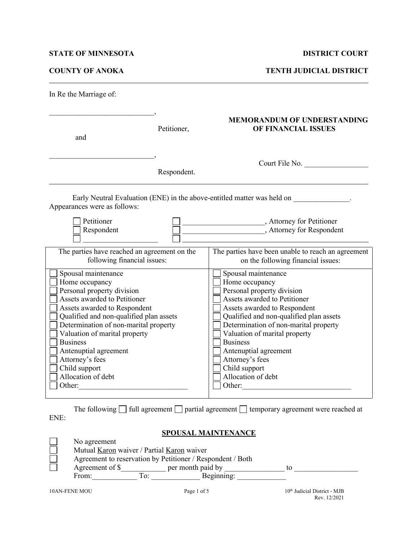## **STATE OF MINNESOTA DISTRICT COURT**

**COUNTY OF ANOKA TENTH JUDICIAL DISTRICT**

| In Re the Marriage of:                                                                                                                                                                                                                                                                                                                                                   |             |                                                                                                                                                                                                                                                                                                                                                                          |  |  |
|--------------------------------------------------------------------------------------------------------------------------------------------------------------------------------------------------------------------------------------------------------------------------------------------------------------------------------------------------------------------------|-------------|--------------------------------------------------------------------------------------------------------------------------------------------------------------------------------------------------------------------------------------------------------------------------------------------------------------------------------------------------------------------------|--|--|
| and                                                                                                                                                                                                                                                                                                                                                                      | Petitioner, | <b>MEMORANDUM OF UNDERSTANDING</b><br>OF FINANCIAL ISSUES                                                                                                                                                                                                                                                                                                                |  |  |
| Respondent.                                                                                                                                                                                                                                                                                                                                                              |             | Court File No.                                                                                                                                                                                                                                                                                                                                                           |  |  |
| Early Neutral Evaluation (ENE) in the above-entitled matter was held on<br>Appearances were as follows:                                                                                                                                                                                                                                                                  |             |                                                                                                                                                                                                                                                                                                                                                                          |  |  |
| Petitioner<br>Respondent                                                                                                                                                                                                                                                                                                                                                 |             | Attorney for Petitioner<br>, Attorney for Respondent                                                                                                                                                                                                                                                                                                                     |  |  |
| The parties have reached an agreement on the<br>following financial issues:                                                                                                                                                                                                                                                                                              |             | The parties have been unable to reach an agreement<br>on the following financial issues:                                                                                                                                                                                                                                                                                 |  |  |
| Spousal maintenance<br>Home occupancy<br>Personal property division<br>Assets awarded to Petitioner<br>Assets awarded to Respondent<br>Qualified and non-qualified plan assets<br>Determination of non-marital property<br>Valuation of marital property<br><b>Business</b><br>Antenuptial agreement<br>Attorney's fees<br>Child support<br>Allocation of debt<br>Other: |             | Spousal maintenance<br>Home occupancy<br>Personal property division<br>Assets awarded to Petitioner<br>Assets awarded to Respondent<br>Qualified and non-qualified plan assets<br>Determination of non-marital property<br>Valuation of marital property<br><b>Business</b><br>Antenuptial agreement<br>Attorney's fees<br>Child support<br>Allocation of debt<br>Other: |  |  |

The following  $\Box$  full agreement  $\Box$  partial agreement  $\Box$  temporary agreement were reached at ENE:

# **SPOUSAL MAINTENANCE**

| No agreement                                               |     |                   |  |  |
|------------------------------------------------------------|-----|-------------------|--|--|
| Mutual Karon waiver / Partial Karon waiver                 |     |                   |  |  |
| Agreement to reservation by Petitioner / Respondent / Both |     |                   |  |  |
| Agreement of \$                                            |     | per month paid by |  |  |
| From:                                                      | To: | Beginning:        |  |  |
|                                                            |     |                   |  |  |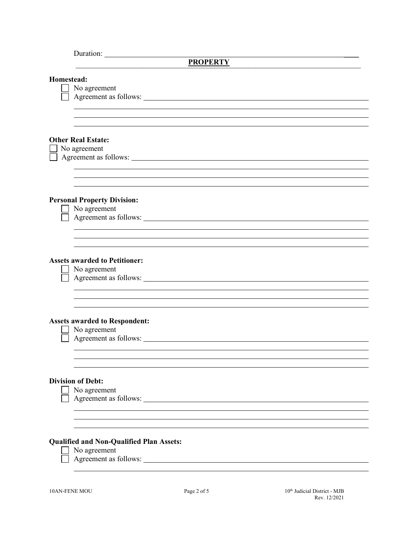| <b>PROPERTY</b>                                                               |  |  |  |
|-------------------------------------------------------------------------------|--|--|--|
| Homestead:<br>No agreement                                                    |  |  |  |
|                                                                               |  |  |  |
|                                                                               |  |  |  |
| <b>Other Real Estate:</b><br>No agreement<br>Agreement as follows:            |  |  |  |
|                                                                               |  |  |  |
|                                                                               |  |  |  |
| <b>Personal Property Division:</b><br>No agreement<br>Agreement as follows:   |  |  |  |
|                                                                               |  |  |  |
|                                                                               |  |  |  |
| <b>Assets awarded to Petitioner:</b><br>No agreement                          |  |  |  |
|                                                                               |  |  |  |
| <b>Assets awarded to Respondent:</b><br>No agreement<br>Agreement as follows: |  |  |  |
| <b>Division of Debt:</b><br>No agreement<br>Agreement as follows:             |  |  |  |
|                                                                               |  |  |  |
| <b>Qualified and Non-Qualified Plan Assets:</b><br>No agreement               |  |  |  |
|                                                                               |  |  |  |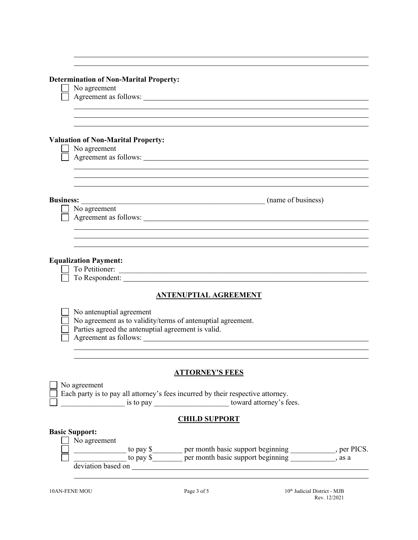|                  | <b>Determination of Non-Marital Property:</b>                                                            |  |  |
|------------------|----------------------------------------------------------------------------------------------------------|--|--|
|                  | No agreement                                                                                             |  |  |
|                  | Agreement as follows:                                                                                    |  |  |
|                  |                                                                                                          |  |  |
|                  |                                                                                                          |  |  |
|                  |                                                                                                          |  |  |
|                  | <b>Valuation of Non-Marital Property:</b>                                                                |  |  |
|                  | No agreement                                                                                             |  |  |
|                  | Agreement as follows:                                                                                    |  |  |
|                  |                                                                                                          |  |  |
|                  |                                                                                                          |  |  |
|                  |                                                                                                          |  |  |
| <b>Business:</b> | (name of business)                                                                                       |  |  |
|                  | No agreement                                                                                             |  |  |
|                  | Agreement as follows:                                                                                    |  |  |
|                  |                                                                                                          |  |  |
|                  |                                                                                                          |  |  |
|                  |                                                                                                          |  |  |
|                  | <b>Equalization Payment:</b>                                                                             |  |  |
|                  | To Petitioner:                                                                                           |  |  |
|                  |                                                                                                          |  |  |
|                  |                                                                                                          |  |  |
|                  | <b>ANTENUPTIAL AGREEMENT</b>                                                                             |  |  |
|                  |                                                                                                          |  |  |
|                  | No antenuptial agreement<br>No agreement as to validity/terms of antenuptial agreement.                  |  |  |
|                  | Parties agreed the antenuptial agreement is valid.                                                       |  |  |
|                  |                                                                                                          |  |  |
|                  |                                                                                                          |  |  |
|                  |                                                                                                          |  |  |
|                  |                                                                                                          |  |  |
|                  | <b>ATTORNEY'S FEES</b>                                                                                   |  |  |
|                  | No agreement                                                                                             |  |  |
|                  | Each party is to pay all attorney's fees incurred by their respective attorney.                          |  |  |
|                  |                                                                                                          |  |  |
|                  |                                                                                                          |  |  |
|                  | <b>CHILD SUPPORT</b>                                                                                     |  |  |
|                  | <b>Basic Support:</b>                                                                                    |  |  |
|                  | No agreement                                                                                             |  |  |
|                  | to pay \$_________ per month basic support beginning ____________, per PICS.<br>$\overline{\phantom{a}}$ |  |  |
|                  | to pay \$_______ per month basic support beginning ______________, as a                                  |  |  |
|                  |                                                                                                          |  |  |
|                  |                                                                                                          |  |  |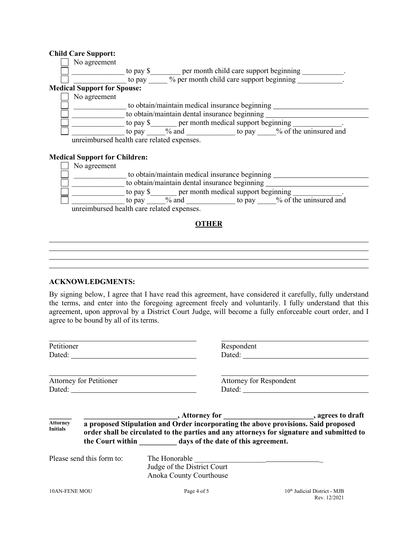## **Child Care Support:**

| No agreement                               |                                                |                                          |  |                               |
|--------------------------------------------|------------------------------------------------|------------------------------------------|--|-------------------------------|
|                                            | to pay \$                                      | per month child care support beginning   |  |                               |
|                                            | to pay                                         | % per month child care support beginning |  |                               |
| <b>Medical Support for Spouse:</b>         |                                                |                                          |  |                               |
| No agreement                               |                                                |                                          |  |                               |
|                                            | to obtain/maintain medical insurance beginning |                                          |  |                               |
|                                            | to obtain/maintain dental insurance beginning  |                                          |  |                               |
|                                            | to pay \$ per month medical support beginning  |                                          |  |                               |
|                                            | to pay                                         | $\%$ and                                 |  | to pay % of the uninsured and |
| unreimbursed health care related expenses. |                                                |                                          |  |                               |
|                                            |                                                |                                          |  |                               |
| <b>Medical Support for Children:</b>       |                                                |                                          |  |                               |
| No agreement                               |                                                |                                          |  |                               |

| TVO agreement                                         |  |  |  |
|-------------------------------------------------------|--|--|--|
| to obtain/maintain medical insurance beginning        |  |  |  |
| to obtain/maintain dental insurance beginning         |  |  |  |
| per month medical support beginning<br>to pay \$      |  |  |  |
| % of the uninsured and<br>$%$ and<br>to pay<br>to pay |  |  |  |
| unreimbursed health care related expenses.            |  |  |  |

## **OTHER**

<u> 1989 - Johann Barn, mars ann an t-Amhain an t-Amhain an t-Amhain an t-Amhain an t-Amhain an t-Amhain an t-Amh</u>

<u> 1989 - Johann Barn, mars ann an t-Amhair an t-Amhair an t-Amhair an t-Amhair an t-Amhair an t-Amhair an t-Amh</u>

### **ACKNOWLEDGMENTS:**

By signing below, I agree that I have read this agreement, have considered it carefully, fully understand the terms, and enter into the foregoing agreement freely and voluntarily. I fully understand that this agreement, upon approval by a District Court Judge, will become a fully enforceable court order, and I agree to be bound by all of its terms.

| Petitioner                         |                                |                                                                                             | Respondent                                                                                                                                                                      |  |
|------------------------------------|--------------------------------|---------------------------------------------------------------------------------------------|---------------------------------------------------------------------------------------------------------------------------------------------------------------------------------|--|
|                                    | <b>Attorney for Petitioner</b> |                                                                                             | Attorney for Respondent                                                                                                                                                         |  |
| <b>Attorney</b><br><b>Initials</b> |                                | the Court within days of the date of this agreement.                                        | a proposed Stipulation and Order incorporating the above provisions. Said proposed<br>order shall be circulated to the parties and any attorneys for signature and submitted to |  |
|                                    | Please send this form to:      | The Honorable <b>Example 2018</b><br>Judge of the District Court<br>Anoka County Courthouse |                                                                                                                                                                                 |  |
| <b>10AN-FENE MOU</b>               |                                | Page 4 of 5                                                                                 | 10 <sup>th</sup> Judicial District - MJB<br>Rev. 12/2021                                                                                                                        |  |